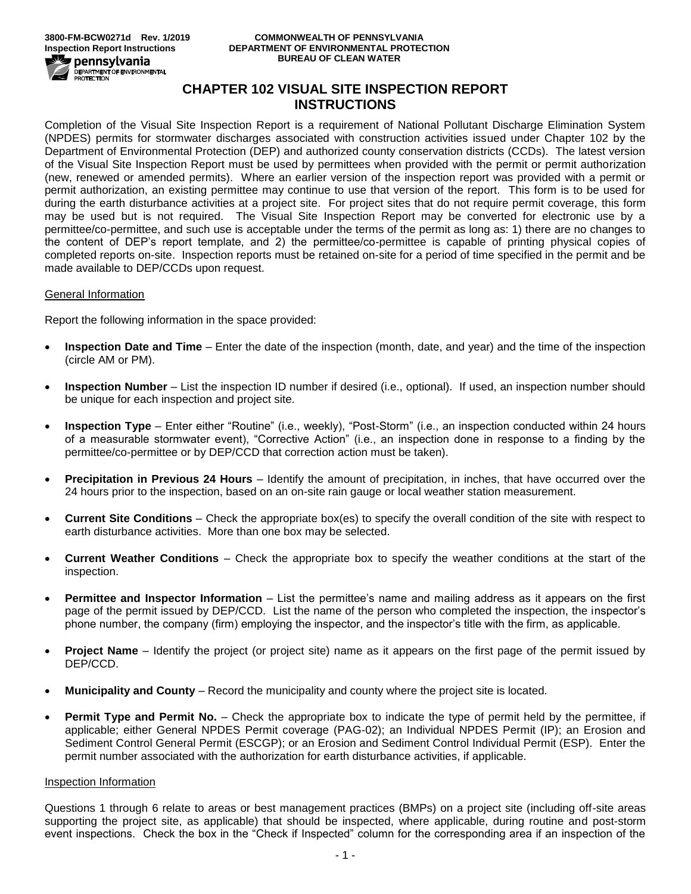

#### **3800-FM-BCW0271d Rev. 1/2019 COMMONWEALTH OF PENNSYLVANIA DEPARTMENT OF ENVIRONMENTAL PROTECTION BUREAU OF CLEAN WATER**

# **CHAPTER 102 VISUAL SITE INSPECTION REPORT INSTRUCTIONS**

Completion of the Visual Site Inspection Report is a requirement of National Pollutant Discharge Elimination System (NPDES) permits for stormwater discharges associated with construction activities issued under Chapter 102 by the Department of Environmental Protection (DEP) and authorized county conservation districts (CCDs). The latest version of the Visual Site Inspection Report must be used by permittees when provided with the permit or permit authorization (new, renewed or amended permits). Where an earlier version of the inspection report was provided with a permit or permit authorization, an existing permittee may continue to use that version of the report. This form is to be used for during the earth disturbance activities at a project site. For project sites that do not require permit coverage, this form may be used but is not required. The Visual Site Inspection Report may be converted for electronic use by a permittee/co-permittee, and such use is acceptable under the terms of the permit as long as: 1) there are no changes to the content of DEP's report template, and 2) the permittee/co-permittee is capable of printing physical copies of completed reports on-site. Inspection reports must be retained on-site for a period of time specified in the permit and be made available to DEP/CCDs upon request.

## General Information

Report the following information in the space provided:

- **Inspection Date and Time** Enter the date of the inspection (month, date, and year) and the time of the inspection (circle AM or PM).
- **Inspection Number** List the inspection ID number if desired (i.e., optional). If used, an inspection number should be unique for each inspection and project site.
- **Inspection Type** Enter either "Routine" (i.e., weekly), "Post-Storm" (i.e., an inspection conducted within 24 hours of a measurable stormwater event), "Corrective Action" (i.e., an inspection done in response to a finding by the permittee/co-permittee or by DEP/CCD that correction action must be taken).
- **Precipitation in Previous 24 Hours** Identify the amount of precipitation, in inches, that have occurred over the 24 hours prior to the inspection, based on an on-site rain gauge or local weather station measurement.
- **Current Site Conditions** Check the appropriate box(es) to specify the overall condition of the site with respect to earth disturbance activities. More than one box may be selected.
- **Current Weather Conditions** Check the appropriate box to specify the weather conditions at the start of the inspection.
- **Permittee and Inspector Information** List the permittee's name and mailing address as it appears on the first page of the permit issued by DEP/CCD. List the name of the person who completed the inspection, the inspector's phone number, the company (firm) employing the inspector, and the inspector's title with the firm, as applicable.
- **Project Name** Identify the project (or project site) name as it appears on the first page of the permit issued by DEP/CCD.
- **Municipality and County** Record the municipality and county where the project site is located.
- **Permit Type and Permit No.** Check the appropriate box to indicate the type of permit held by the permittee, if applicable; either General NPDES Permit coverage (PAG-02); an Individual NPDES Permit (IP); an Erosion and Sediment Control General Permit (ESCGP); or an Erosion and Sediment Control Individual Permit (ESP). Enter the permit number associated with the authorization for earth disturbance activities, if applicable.

## Inspection Information

Questions 1 through 6 relate to areas or best management practices (BMPs) on a project site (including off-site areas supporting the project site, as applicable) that should be inspected, where applicable, during routine and post-storm event inspections. Check the box in the "Check if Inspected" column for the corresponding area if an inspection of the